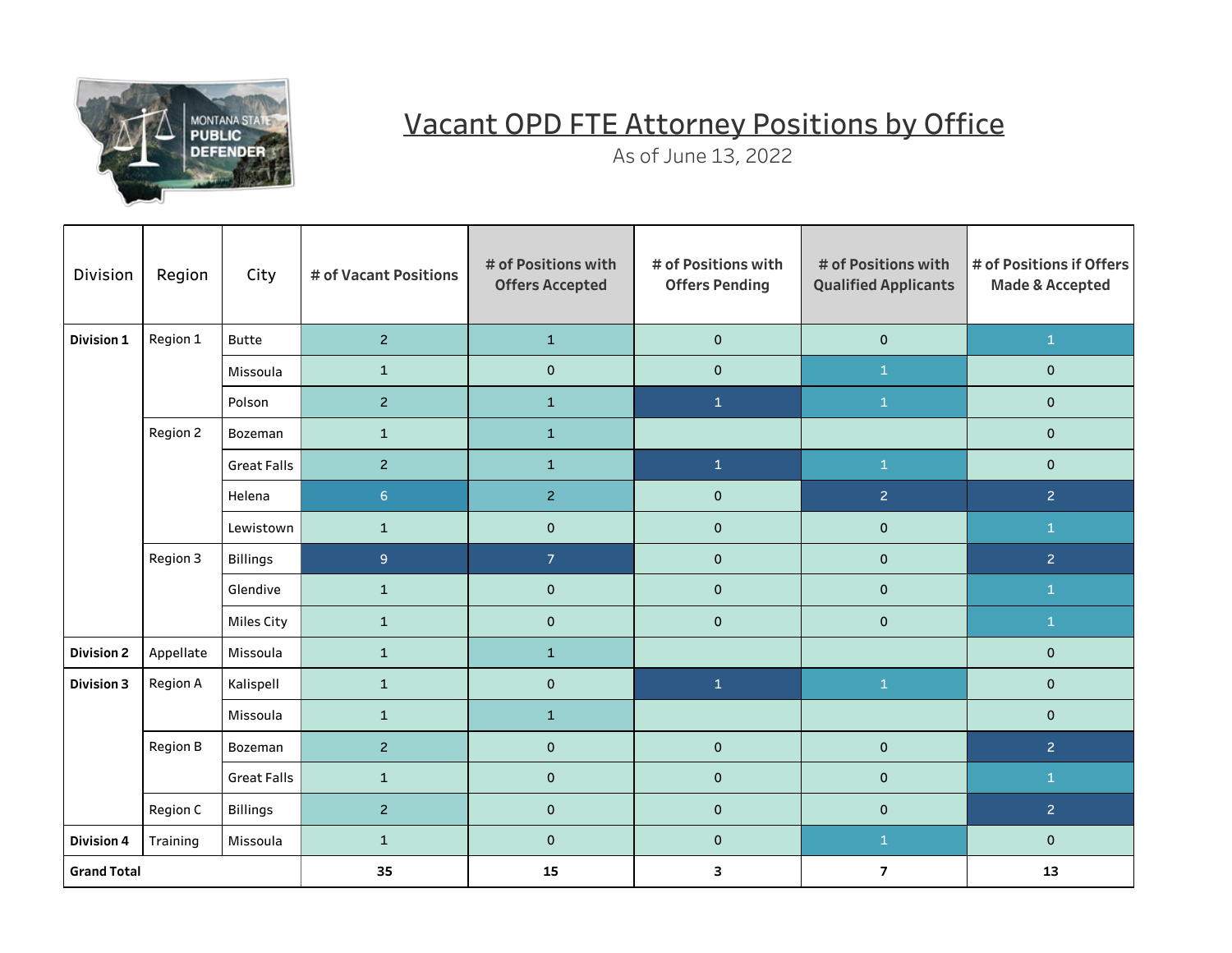

## Vacant OPD FTE Attorney Positions by Office

As of June 13, 2022

| <b>Division</b>    | Region          | City               | # of Vacant Positions | # of Positions with<br><b>Offers Accepted</b> | # of Positions with<br><b>Offers Pending</b> | # of Positions with<br><b>Qualified Applicants</b> | # of Positions if Offers<br><b>Made &amp; Accepted</b> |
|--------------------|-----------------|--------------------|-----------------------|-----------------------------------------------|----------------------------------------------|----------------------------------------------------|--------------------------------------------------------|
| Division 1         | Region 1        | <b>Butte</b>       | $\overline{2}$        | $\mathbf{1}$                                  | $\mathbf 0$                                  | $\mathbf 0$                                        | $\mathbf{1}$                                           |
|                    |                 | Missoula           | $\mathbf 1$           | $\mathsf{O}\xspace$                           | $\mathsf{O}\xspace$                          | $\mathbf{1}$                                       | $\mathsf{O}\xspace$                                    |
|                    |                 | Polson             | $\overline{c}$        | $\mathbf{1}$                                  | $\mathbf{1}$                                 | $\mathbf{1}$                                       | $\pmb{0}$                                              |
|                    | Region 2        | Bozeman            | $\mathbf{1}$          | $\mathbf{1}$                                  |                                              |                                                    | $\mathbf 0$                                            |
|                    |                 | <b>Great Falls</b> | $\overline{2}$        | $\mathbf{1}$                                  | $\mathbf{1}$                                 | $\mathbf{1}$                                       | $\mathbf 0$                                            |
|                    |                 | Helena             | 6 <sup>1</sup>        | $\overline{2}$                                | $\mathbf 0$                                  | $\overline{2}$                                     | $\overline{2}$                                         |
|                    |                 | Lewistown          | $\mathbf{1}$          | $\mathsf{O}\xspace$                           | $\pmb{0}$                                    | $\mathbf 0$                                        | $\mathbf{1}$                                           |
|                    | Region 3        | <b>Billings</b>    | $\mathsf{9}$          | 7 <sup>1</sup>                                | $\pmb{0}$                                    | $\mathbf 0$                                        | 2 <sup>1</sup>                                         |
|                    |                 | Glendive           | $\mathbf{1}$          | $\mathbf 0$                                   | $\mathbf 0$                                  | $\mathbf 0$                                        | $\mathbf{1}$                                           |
|                    |                 | Miles City         | $\mathbf 1$           | $\mathbf 0$                                   | $\mathbf 0$                                  | $\mathbf 0$                                        | $\mathbf{1}$                                           |
| <b>Division 2</b>  | Appellate       | Missoula           | $\mathbf{1}$          | $\mathbf{1}$                                  |                                              |                                                    | $\pmb{0}$                                              |
| <b>Division 3</b>  | <b>Region A</b> | Kalispell          | $\mathbf{1}$          | $\mathbf 0$                                   | $\mathbf{1}$                                 | $\mathbf{1}$                                       | $\mathbf 0$                                            |
|                    |                 | Missoula           | $\mathbf{1}$          | $\mathbf{1}$                                  |                                              |                                                    | $\mathbf 0$                                            |
|                    | Region B        | Bozeman            | $\overline{2}$        | $\mathbf 0$                                   | $\mathsf{O}\xspace$                          | $\mathbf 0$                                        | $\overline{2}$                                         |
|                    |                 | <b>Great Falls</b> | $\mathbf 1$           | $\mathbf 0$                                   | $\mathbf 0$                                  | $\mathbf 0$                                        | $\mathbf{1}$                                           |
|                    | Region C        | <b>Billings</b>    | $\overline{2}$        | $\pmb{0}$                                     | $\mathsf{O}\xspace$                          | $\pmb{0}$                                          | $\overline{2}$                                         |
| <b>Division 4</b>  | Training        | Missoula           | $\mathbf{1}$          | $\mathbf 0$                                   | $\pmb{0}$                                    | $\mathbf{1}$                                       | $\pmb{0}$                                              |
| <b>Grand Total</b> |                 |                    | 35                    | 15                                            | 3                                            | $\overline{7}$                                     | 13                                                     |